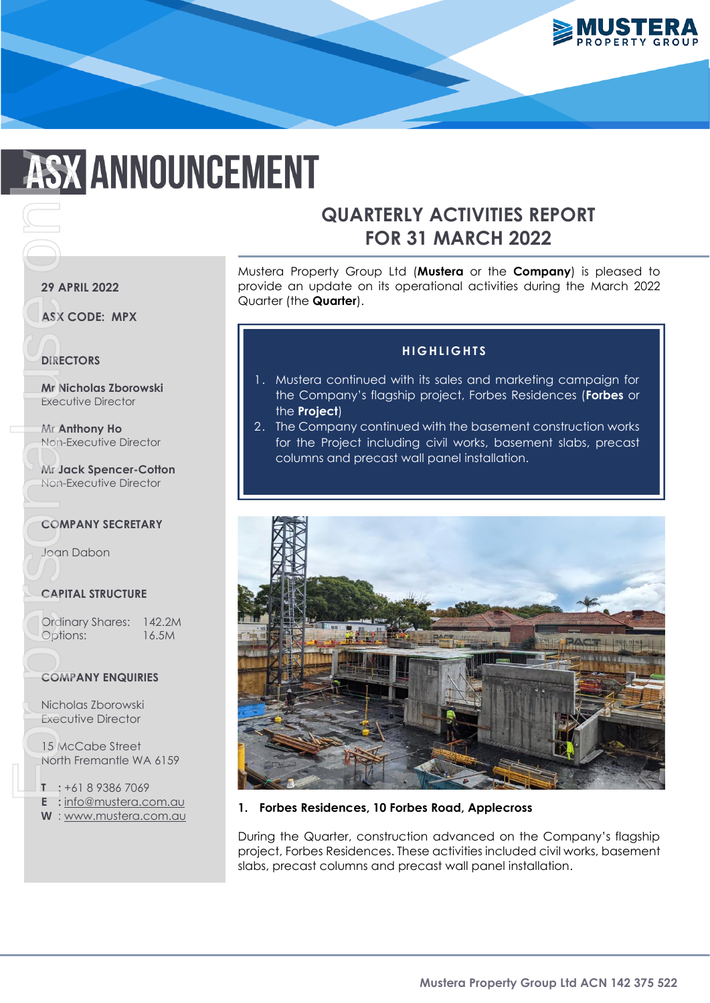

# **ASX ANNOUNCEMENT** For Personal University<br>
For Personal University<br>
For Personal University<br>
For Personal University<br>
For Personal University<br>
For Personal University<br>
For Personal University<br>
For Personal University<br>
The Person<br>
Text Perso

# **QUARTERLY ACTIVITIES REPORT FOR 31 MARCH 2022**

Mustera Property Group Ltd (**Mustera** or the **Company**) is pleased to provide an update on its operational activities during the March 2022 Quarter (the **Quarter**).

### **H I G H L I G H T S**

- 1. Mustera continued with its sales and marketing campaign for the Company's flagship project, Forbes Residences (**Forbes** or the **Project**)
- 2. The Company continued with the basement construction works for the Project including civil works, basement slabs, precast columns and precast wall panel installation.



### **1. Forbes Residences, 10 Forbes Road, Applecross**

During the Quarter, construction advanced on the Company's flagship project, Forbes Residences. These activities included civil works, basement slabs, precast columns and precast wall panel installation.

### **29 APRIL 2022**

**ASX CODE: MPX** 

# **DIRECTORS**

**Mr Nicholas Zborowski**  Executive Director

**Mr Anthony Ho**  Non-Executive Director

**Mr Jack Spencer-Cotton**  Non-Executive Director

### **COMPANY SECRETARY**

Joan Dabon

### **CAPITAL STRUCTURE**

Ordinary Shares: 142.2M Options: 16.5M

### **COMPANY ENQUIRIES**

Nicholas Zborowski Executive Director

15 McCabe Street North Fremantle WA 6159

**T :** +61 8 9386 7069

- **E :** [info@mustera.com.au](mailto:info@mustera.com.au)
- **W** : [www.mustera.com.au](http://www.mustera.com.au/)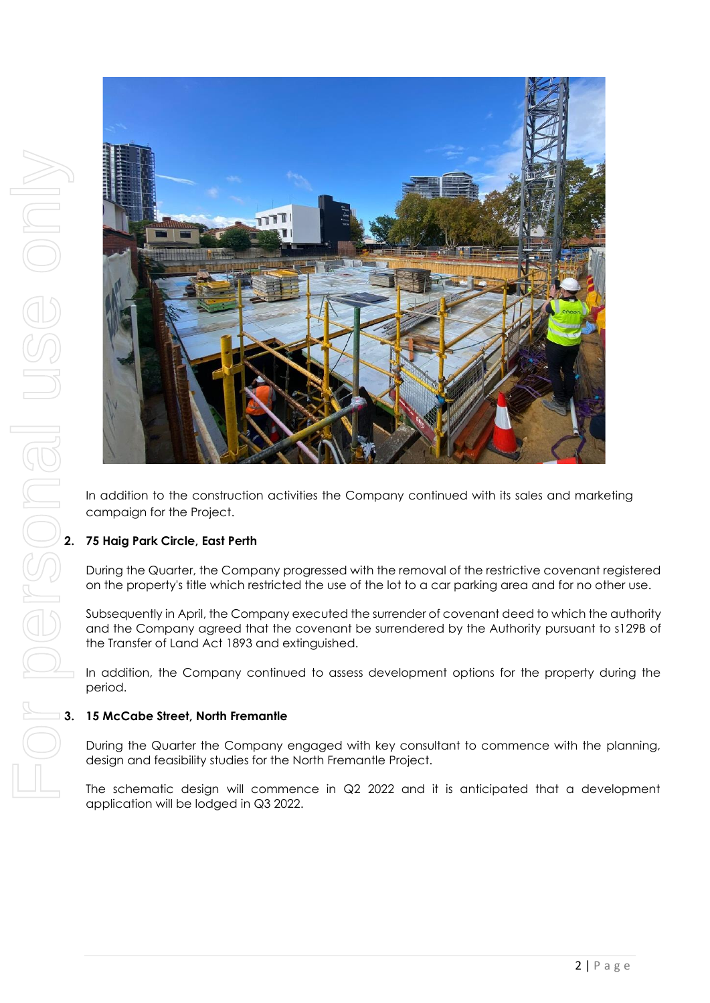

In addition to the construction activities the Company continued with its sales and marketing campaign for the Project.

# **2. 75 Haig Park Circle, East Perth**

During the Quarter, the Company progressed with the removal of the restrictive covenant registered on the property's title which restricted the use of the lot to a car parking area and for no other use.

Subsequently in April, the Company executed the surrender of covenant deed to which the authority and the Company agreed that the covenant be surrendered by the Authority pursuant to s129B of the Transfer of Land Act 1893 and extinguished.

In addition, the Company continued to assess development options for the property during the period.

### **3. 15 McCabe Street, North Fremantle**

During the Quarter the Company engaged with key consultant to commence with the planning, design and feasibility studies for the North Fremantle Project.

The schematic design will commence in Q2 2022 and it is anticipated that a development application will be lodged in Q3 2022.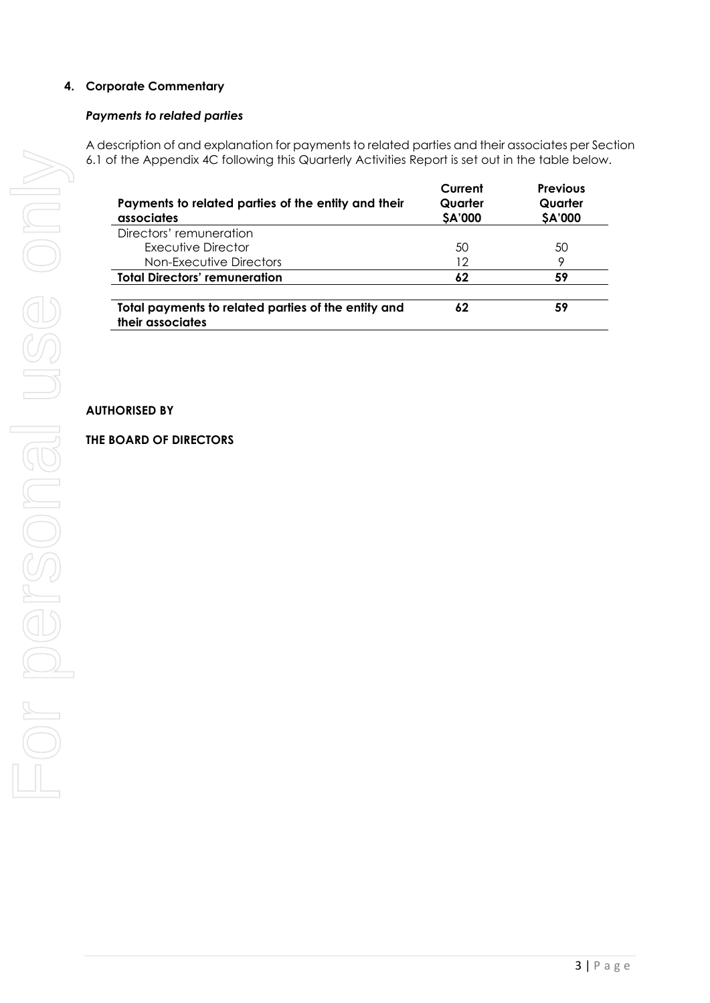# **4. Corporate Commentary**

### *Payments to related parties*

A description of and explanation for payments to related parties and their associates per Section 6.1 of the Appendix 4C following this Quarterly Activities Report is set out in the table below.

| Payments to related parties of the entity and their<br>associates       | Current<br>Quarter<br>\$A'000 | <b>Previous</b><br>Quarter<br>\$A'000 |
|-------------------------------------------------------------------------|-------------------------------|---------------------------------------|
| Directors' remuneration                                                 |                               |                                       |
| Executive Director                                                      | 50                            | 50                                    |
| Non-Executive Directors                                                 | 12                            | 9                                     |
| <b>Total Directors' remuneration</b>                                    | 62                            | 59                                    |
| Total payments to related parties of the entity and<br>their associates | 62                            | 59                                    |

### **AUTHORISED BY**

### **THE BOARD OF DIRECTORS**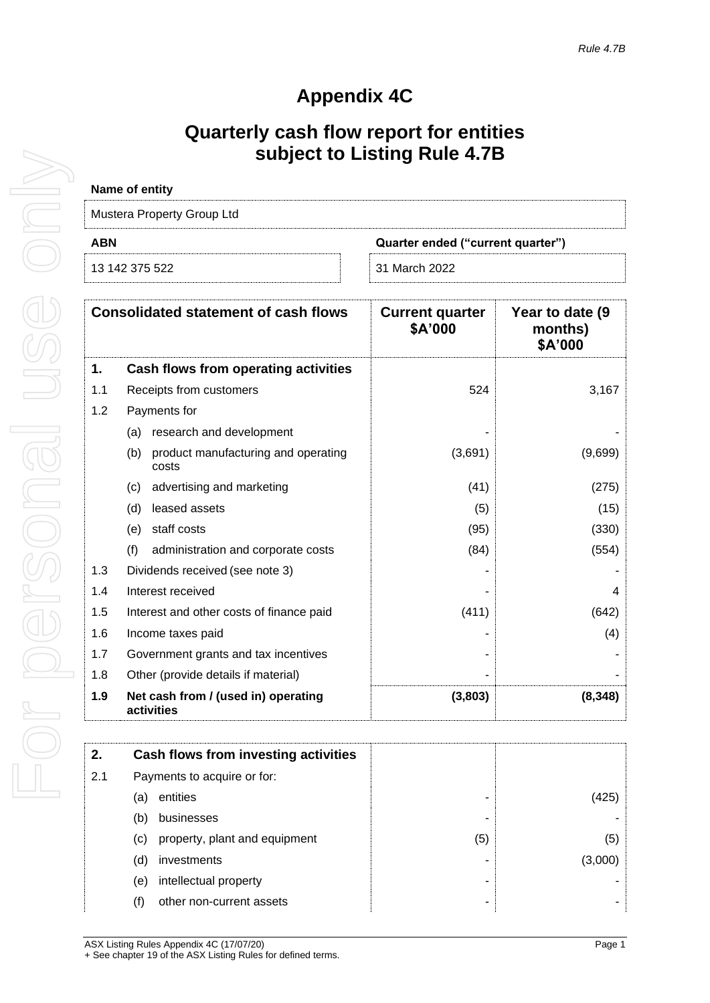# **Appendix 4C**

# **Quarterly cash flow report for entities subject to Listing Rule 4.7B**

| Name of entity                           |               |  |
|------------------------------------------|---------------|--|
| Mustera Property Group Ltd               |               |  |
| ABN<br>Quarter ended ("current quarter") |               |  |
| 13 142 375 522                           | 31 March 2022 |  |

| <b>Consolidated statement of cash flows</b> |                                                     | <b>Current quarter</b><br>\$A'000 | Year to date (9)<br>months)<br>\$A'000 |
|---------------------------------------------|-----------------------------------------------------|-----------------------------------|----------------------------------------|
| 1.                                          | Cash flows from operating activities                |                                   |                                        |
| 1.1                                         | Receipts from customers                             | 524                               | 3,167                                  |
| 1.2                                         | Payments for                                        |                                   |                                        |
|                                             | (a) research and development                        |                                   |                                        |
|                                             | product manufacturing and operating<br>(b)<br>costs | (3,691)                           | (9,699)                                |
|                                             | advertising and marketing<br>(C)                    | (41)                              | (275)                                  |
|                                             | leased assets<br>(d)                                | (5)                               | (15)                                   |
|                                             | staff costs<br>(e)                                  | (95)                              | (330)                                  |
|                                             | (f)<br>administration and corporate costs           | (84)                              | (554)                                  |
| 1.3                                         | Dividends received (see note 3)                     |                                   |                                        |
| 1.4                                         | Interest received                                   |                                   | 4                                      |
| 1.5                                         | Interest and other costs of finance paid            | (411)                             | (642)                                  |
| 1.6                                         | Income taxes paid                                   |                                   | (4)                                    |
| 1.7                                         | Government grants and tax incentives                |                                   |                                        |
| 1.8                                         | Other (provide details if material)                 |                                   |                                        |
| 1.9                                         | Net cash from / (used in) operating<br>activities   | (3,803)                           | (8, 348)                               |

| 2.  |                             | Cash flows from investing activities |     |        |
|-----|-----------------------------|--------------------------------------|-----|--------|
| 2.1 | Payments to acquire or for: |                                      |     |        |
|     | (a)                         | entities                             |     | 1425   |
|     | (b)                         | businesses                           |     |        |
|     | $\left( \mathrm{c}\right)$  | property, plant and equipment        | (5) | (5)    |
|     | (d)                         | investments                          |     | (3.000 |
|     | (e)                         | intellectual property                |     |        |
|     | (f)                         | other non-current assets             |     |        |
|     |                             |                                      |     |        |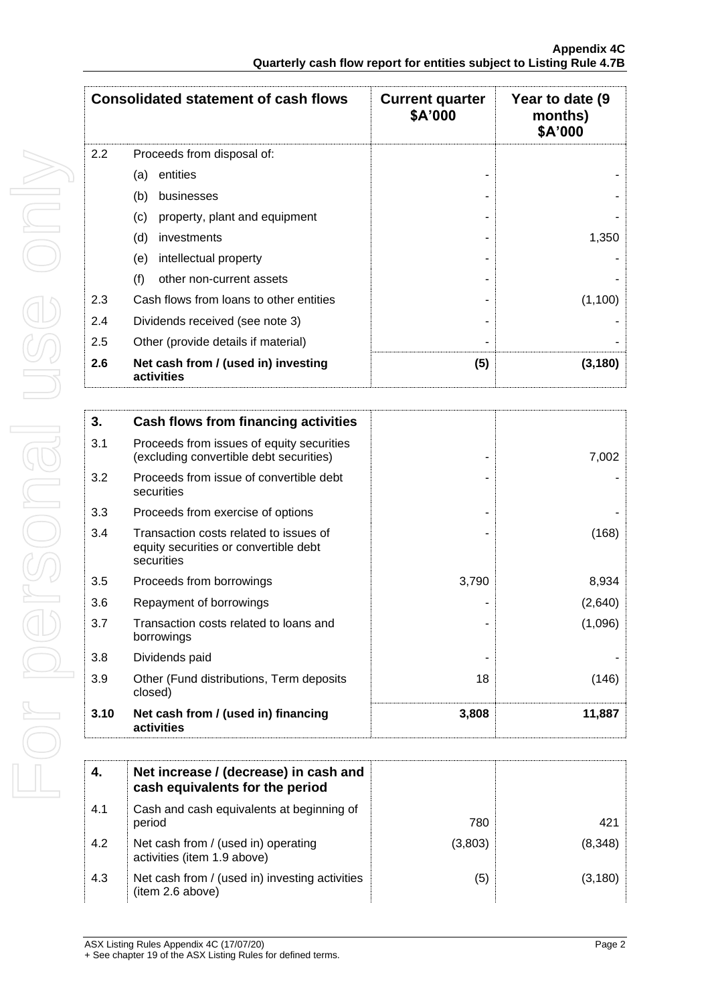|     | <b>Consolidated statement of cash flows</b>       | <b>Current quarter</b><br>\$A'000 | Year to date (9)<br>months)<br>\$A'000 |
|-----|---------------------------------------------------|-----------------------------------|----------------------------------------|
| 2.2 | Proceeds from disposal of:                        |                                   |                                        |
|     | entities<br>(a)                                   |                                   |                                        |
|     | (b)<br>businesses                                 |                                   |                                        |
|     | property, plant and equipment<br>(c)              |                                   |                                        |
|     | (d)<br>investments                                |                                   | 1,350                                  |
|     | (e)<br>intellectual property                      |                                   |                                        |
|     | (f)<br>other non-current assets                   |                                   |                                        |
| 2.3 | Cash flows from loans to other entities           |                                   | (1,100)                                |
| 2.4 | Dividends received (see note 3)                   |                                   |                                        |
| 2.5 | Other (provide details if material)               |                                   |                                        |
| 2.6 | Net cash from / (used in) investing<br>activities | (5)                               | (3, 180)                               |

| 3.   | Cash flows from financing activities                                                          |       |         |
|------|-----------------------------------------------------------------------------------------------|-------|---------|
| 3.1  | Proceeds from issues of equity securities<br>(excluding convertible debt securities)          |       | 7,002   |
| 3.2  | Proceeds from issue of convertible debt<br>securities                                         |       |         |
| 3.3  | Proceeds from exercise of options                                                             |       |         |
| 3.4  | Transaction costs related to issues of<br>equity securities or convertible debt<br>securities |       | (168)   |
| 3.5  | Proceeds from borrowings                                                                      | 3,790 | 8,934   |
| 3.6  | Repayment of borrowings                                                                       |       | (2,640) |
| 3.7  | Transaction costs related to loans and<br>borrowings                                          |       | (1,096) |
| 3.8  | Dividends paid                                                                                |       |         |
| 3.9  | Other (Fund distributions, Term deposits<br>closed)                                           | 18    | (146)   |
| 3.10 | Net cash from / (used in) financing<br>activities                                             | 3,808 | 11,887  |

| 4.  | Net increase / (decrease) in cash and<br>cash equivalents for the period |         |          |
|-----|--------------------------------------------------------------------------|---------|----------|
| 4.1 | Cash and cash equivalents at beginning of<br>period                      | 780     | 421      |
| 4.2 | Net cash from / (used in) operating<br>activities (item 1.9 above)       | (3,803) | (8,348)  |
| 4.3 | Net cash from / (used in) investing activities<br>(item 2.6 above)       | (5)     | (3, 180) |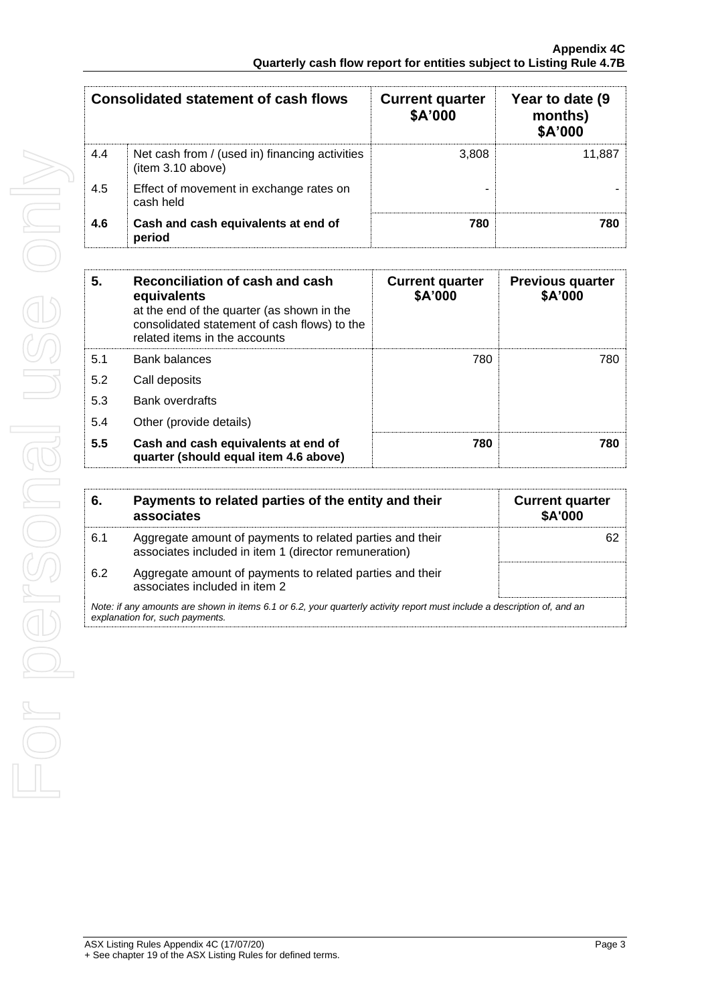| Consolidated statement of cash flows |                                                                     | <b>Current quarter</b><br>\$A'000 | Year to date (9<br>months)<br>\$A'000 |
|--------------------------------------|---------------------------------------------------------------------|-----------------------------------|---------------------------------------|
| 4.4                                  | Net cash from / (used in) financing activities<br>(item 3.10 above) | 3,808                             | 11.887                                |
| 4.5                                  | Effect of movement in exchange rates on<br>cash held                |                                   |                                       |
| 4.6                                  | Cash and cash equivalents at end of<br>period                       | 780                               | 780                                   |

| 5.  | Reconciliation of cash and cash<br>equivalents<br>at the end of the quarter (as shown in the<br>consolidated statement of cash flows) to the<br>related items in the accounts | <b>Current quarter</b><br>\$A'000 | <b>Previous quarter</b><br>\$A'000 |
|-----|-------------------------------------------------------------------------------------------------------------------------------------------------------------------------------|-----------------------------------|------------------------------------|
| 5.1 | Bank balances                                                                                                                                                                 | 780                               | 780                                |
| 5.2 | Call deposits                                                                                                                                                                 |                                   |                                    |
| 5.3 | <b>Bank overdrafts</b>                                                                                                                                                        |                                   |                                    |
| 5.4 | Other (provide details)                                                                                                                                                       |                                   |                                    |
| 5.5 | Cash and cash equivalents at end of<br>quarter (should equal item 4.6 above)                                                                                                  | 780                               | 780                                |

| 6.  | Payments to related parties of the entity and their<br>associates                                                                                           | <b>Current quarter</b><br><b>\$A'000</b> |
|-----|-------------------------------------------------------------------------------------------------------------------------------------------------------------|------------------------------------------|
| 6.1 | Aggregate amount of payments to related parties and their<br>associates included in item 1 (director remuneration)                                          |                                          |
| 6.2 | Aggregate amount of payments to related parties and their<br>associates included in item 2                                                                  |                                          |
|     | Note: if any amounts are shown in items 6.1 or 6.2, your quarterly activity report must include a description of, and an<br>explanation for, such payments. |                                          |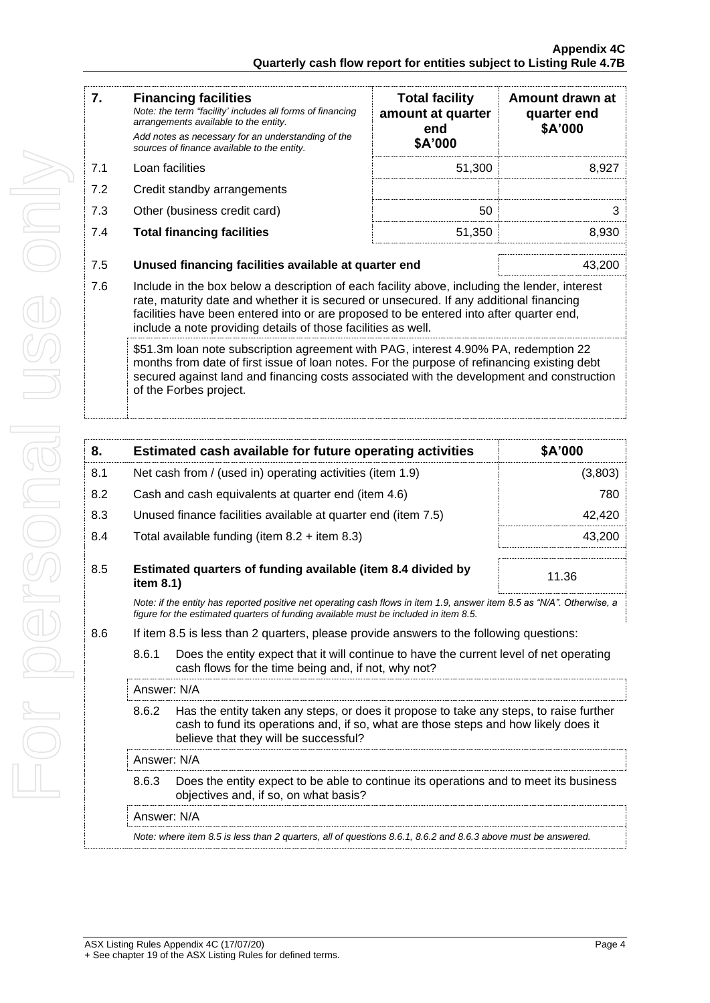| 7.  | <b>Financing facilities</b><br>Note: the term "facility' includes all forms of financing<br>arrangements available to the entity.<br>Add notes as necessary for an understanding of the                                                                                                                                                              | <b>Total facility</b><br>amount at quarter<br>end | Amount drawn at<br>quarter end<br>\$A'000 |
|-----|------------------------------------------------------------------------------------------------------------------------------------------------------------------------------------------------------------------------------------------------------------------------------------------------------------------------------------------------------|---------------------------------------------------|-------------------------------------------|
|     | sources of finance available to the entity.                                                                                                                                                                                                                                                                                                          | \$A'000                                           |                                           |
| 7.1 | Loan facilities                                                                                                                                                                                                                                                                                                                                      | 51,300                                            | 8,927                                     |
| 7.2 | Credit standby arrangements                                                                                                                                                                                                                                                                                                                          |                                                   |                                           |
| 7.3 | Other (business credit card)                                                                                                                                                                                                                                                                                                                         | 50                                                | 3                                         |
| 7.4 | <b>Total financing facilities</b>                                                                                                                                                                                                                                                                                                                    | 51,350                                            | 8,930                                     |
| 7.5 | Unused financing facilities available at quarter end                                                                                                                                                                                                                                                                                                 |                                                   | 43,200                                    |
| 7.6 | Include in the box below a description of each facility above, including the lender, interest<br>rate, maturity date and whether it is secured or unsecured. If any additional financing<br>facilities have been entered into or are proposed to be entered into after quarter end,<br>include a note providing details of those facilities as well. |                                                   |                                           |
|     | \$51.3m loan note subscription agreement with PAG, interest 4.90% PA, redemption 22<br>months from date of first issue of loan notes. For the purpose of refinancing existing debt<br>secured against land and financing costs associated with the development and construction<br>of the Forbes project.                                            |                                                   |                                           |

| 8.                                                                                                                                      |                                                                                                                                                                                                                                 | Estimated cash available for future operating activities                                                                                                                                                       | \$A'000 |  |
|-----------------------------------------------------------------------------------------------------------------------------------------|---------------------------------------------------------------------------------------------------------------------------------------------------------------------------------------------------------------------------------|----------------------------------------------------------------------------------------------------------------------------------------------------------------------------------------------------------------|---------|--|
| 8.1                                                                                                                                     |                                                                                                                                                                                                                                 | Net cash from / (used in) operating activities (item 1.9)                                                                                                                                                      | (3,803) |  |
| 8.2                                                                                                                                     |                                                                                                                                                                                                                                 | Cash and cash equivalents at quarter end (item 4.6)                                                                                                                                                            | 780     |  |
| 8.3                                                                                                                                     | Unused finance facilities available at quarter end (item 7.5)                                                                                                                                                                   |                                                                                                                                                                                                                | 42,420  |  |
| 8.4                                                                                                                                     |                                                                                                                                                                                                                                 | Total available funding (item $8.2 +$ item $8.3$ )                                                                                                                                                             | 43,200  |  |
| 8.5                                                                                                                                     | item 8.1)                                                                                                                                                                                                                       | Estimated quarters of funding available (item 8.4 divided by                                                                                                                                                   | 11.36   |  |
|                                                                                                                                         |                                                                                                                                                                                                                                 | Note: if the entity has reported positive net operating cash flows in item 1.9, answer item 8.5 as "N/A". Otherwise, a<br>figure for the estimated quarters of funding available must be included in item 8.5. |         |  |
| 8.6                                                                                                                                     | If item 8.5 is less than 2 quarters, please provide answers to the following questions:                                                                                                                                         |                                                                                                                                                                                                                |         |  |
| 8.6.1<br>cash flows for the time being and, if not, why not?                                                                            |                                                                                                                                                                                                                                 | Does the entity expect that it will continue to have the current level of net operating                                                                                                                        |         |  |
|                                                                                                                                         | Answer: N/A                                                                                                                                                                                                                     |                                                                                                                                                                                                                |         |  |
|                                                                                                                                         | 8.6.2<br>Has the entity taken any steps, or does it propose to take any steps, to raise further<br>cash to fund its operations and, if so, what are those steps and how likely does it<br>believe that they will be successful? |                                                                                                                                                                                                                |         |  |
|                                                                                                                                         | Answer: N/A                                                                                                                                                                                                                     |                                                                                                                                                                                                                |         |  |
| Does the entity expect to be able to continue its operations and to meet its business<br>8.6.3<br>objectives and, if so, on what basis? |                                                                                                                                                                                                                                 |                                                                                                                                                                                                                |         |  |
|                                                                                                                                         |                                                                                                                                                                                                                                 |                                                                                                                                                                                                                |         |  |

Answer: N/A

*Note: where item 8.5 is less than 2 quarters, all of questions 8.6.1, 8.6.2 and 8.6.3 above must be answered.*